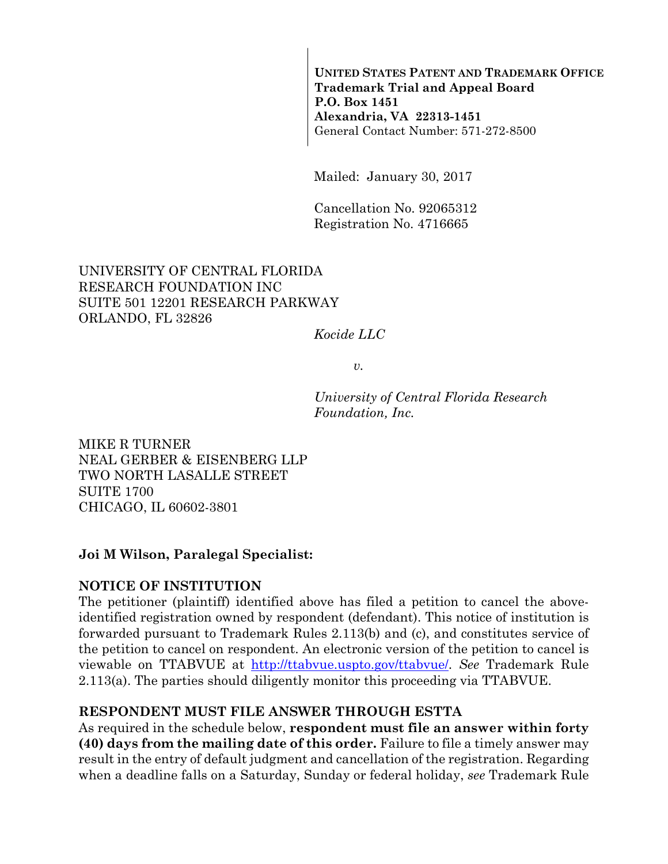**UNITED STATES PATENT AND TRADEMARK OFFICE Trademark Trial and Appeal Board P.O. Box 1451 Alexandria, VA 22313-1451**  General Contact Number: 571-272-8500

Mailed: January 30, 2017

Cancellation No. 92065312 Registration No. 4716665

## UNIVERSITY OF CENTRAL FLORIDA RESEARCH FOUNDATION INC SUITE 501 12201 RESEARCH PARKWAY ORLANDO, FL 32826

*Kocide LLC* 

 $v<sub>r</sub>$ 

*University of Central Florida Research Foundation, Inc.* 

MIKE R TURNER NEAL GERBER & EISENBERG LLP TWO NORTH LASALLE STREET SUITE 1700 CHICAGO, IL 60602-3801

## **Joi M Wilson, Paralegal Specialist:**

## **NOTICE OF INSTITUTION**

The petitioner (plaintiff) identified above has filed a petition to cancel the aboveidentified registration owned by respondent (defendant). This notice of institution is forwarded pursuant to Trademark Rules 2.113(b) and (c), and constitutes service of the petition to cancel on respondent. An electronic version of the petition to cancel is viewable on TTABVUE at http://ttabvue.uspto.gov/ttabvue/. *See* Trademark Rule 2.113(a). The parties should diligently monitor this proceeding via TTABVUE.

## **RESPONDENT MUST FILE ANSWER THROUGH ESTTA**

As required in the schedule below, **respondent must file an answer within forty (40) days from the mailing date of this order.** Failure to file a timely answer may result in the entry of default judgment and cancellation of the registration. Regarding when a deadline falls on a Saturday, Sunday or federal holiday, *see* Trademark Rule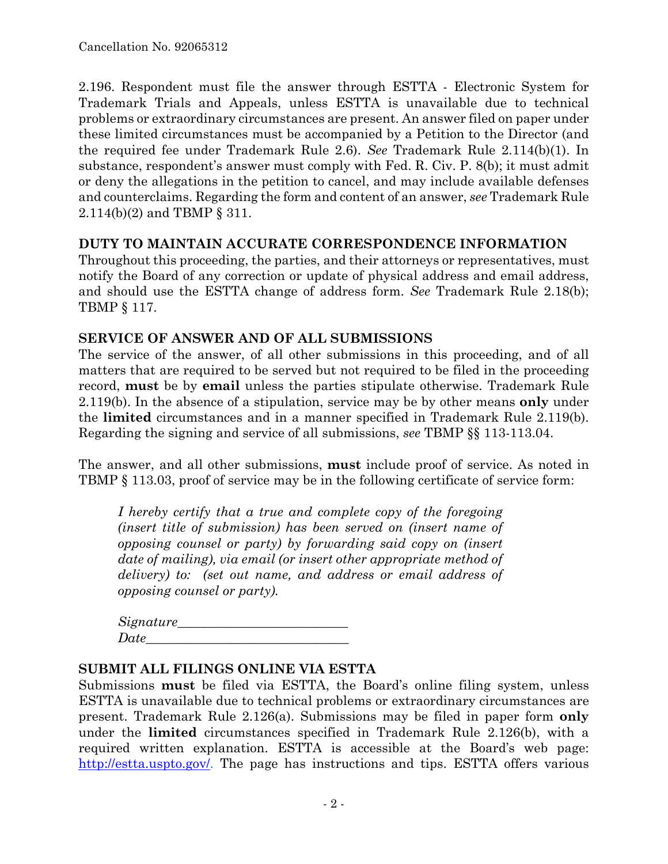2.196. Respondent must file the answer through ESTTA - Electronic System for Trademark Trials and Appeals, unless ESTTA is unavailable due to technical problems or extraordinary circumstances are present. An answer filed on paper under these limited circumstances must be accompanied by a Petition to the Director (and the required fee under Trademark Rule 2.6). *See* Trademark Rule 2.114(b)(1). In substance, respondent's answer must comply with Fed. R. Civ. P. 8(b); it must admit or deny the allegations in the petition to cancel, and may include available defenses and counterclaims. Regarding the form and content of an answer, *see* Trademark Rule 2.114(b)(2) and TBMP § 311.

### **DUTY TO MAINTAIN ACCURATE CORRESPONDENCE INFORMATION**

Throughout this proceeding, the parties, and their attorneys or representatives, must notify the Board of any correction or update of physical address and email address, and should use the ESTTA change of address form. *See* Trademark Rule 2.18(b); TBMP § 117.

### **SERVICE OF ANSWER AND OF ALL SUBMISSIONS**

The service of the answer, of all other submissions in this proceeding, and of all matters that are required to be served but not required to be filed in the proceeding record, **must** be by **email** unless the parties stipulate otherwise. Trademark Rule 2.119(b). In the absence of a stipulation, service may be by other means **only** under the **limited** circumstances and in a manner specified in Trademark Rule 2.119(b). Regarding the signing and service of all submissions, *see* TBMP §§ 113-113.04.

The answer, and all other submissions, **must** include proof of service. As noted in TBMP § 113.03, proof of service may be in the following certificate of service form:

*I hereby certify that a true and complete copy of the foregoing (insert title of submission) has been served on (insert name of opposing counsel or party) by forwarding said copy on (insert date of mailing), via email (or insert other appropriate method of delivery) to: (set out name, and address or email address of opposing counsel or party).* 

| Signature_ |  |  |
|------------|--|--|
| Date       |  |  |

### **SUBMIT ALL FILINGS ONLINE VIA ESTTA**

Submissions **must** be filed via ESTTA, the Board's online filing system, unless ESTTA is unavailable due to technical problems or extraordinary circumstances are present. Trademark Rule 2.126(a). Submissions may be filed in paper form **only** under the **limited** circumstances specified in Trademark Rule 2.126(b), with a required written explanation. ESTTA is accessible at the Board's web page: http://estta.uspto.gov/. The page has instructions and tips. ESTTA offers various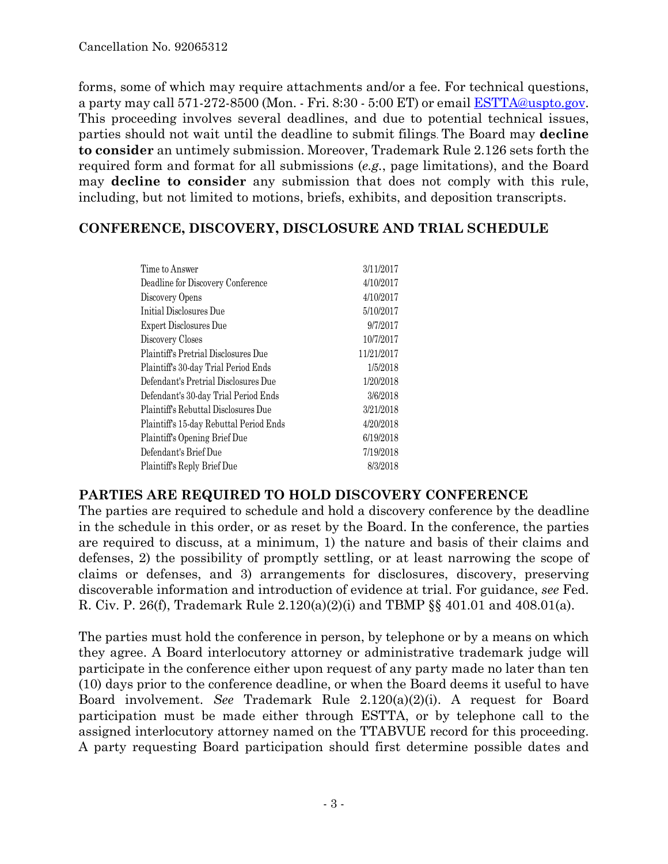forms, some of which may require attachments and/or a fee. For technical questions, a party may call 571-272-8500 (Mon. - Fri. 8:30 - 5:00 ET) or email ESTTA@uspto.gov. This proceeding involves several deadlines, and due to potential technical issues, parties should not wait until the deadline to submit filings. The Board may **decline to consider** an untimely submission. Moreover, Trademark Rule 2.126 sets forth the required form and format for all submissions (*e.g.*, page limitations), and the Board may **decline to consider** any submission that does not comply with this rule, including, but not limited to motions, briefs, exhibits, and deposition transcripts.

## **CONFERENCE, DISCOVERY, DISCLOSURE AND TRIAL SCHEDULE**

| 3/11/2017  |
|------------|
| 4/10/2017  |
| 4/10/2017  |
| 5/10/2017  |
| 9/7/2017   |
| 10/7/2017  |
| 11/21/2017 |
| 1/5/2018   |
| 1/20/2018  |
| 3/6/2018   |
| 3/21/2018  |
| 4/20/2018  |
| 6/19/2018  |
| 7/19/2018  |
| 8/3/2018   |
|            |

## **PARTIES ARE REQUIRED TO HOLD DISCOVERY CONFERENCE**

The parties are required to schedule and hold a discovery conference by the deadline in the schedule in this order, or as reset by the Board. In the conference, the parties are required to discuss, at a minimum, 1) the nature and basis of their claims and defenses, 2) the possibility of promptly settling, or at least narrowing the scope of claims or defenses, and 3) arrangements for disclosures, discovery, preserving discoverable information and introduction of evidence at trial. For guidance, *see* Fed. R. Civ. P. 26(f), Trademark Rule 2.120(a)(2)(i) and TBMP §§ 401.01 and 408.01(a).

The parties must hold the conference in person, by telephone or by a means on which they agree. A Board interlocutory attorney or administrative trademark judge will participate in the conference either upon request of any party made no later than ten (10) days prior to the conference deadline, or when the Board deems it useful to have Board involvement. *See* Trademark Rule 2.120(a)(2)(i). A request for Board participation must be made either through ESTTA, or by telephone call to the assigned interlocutory attorney named on the TTABVUE record for this proceeding. A party requesting Board participation should first determine possible dates and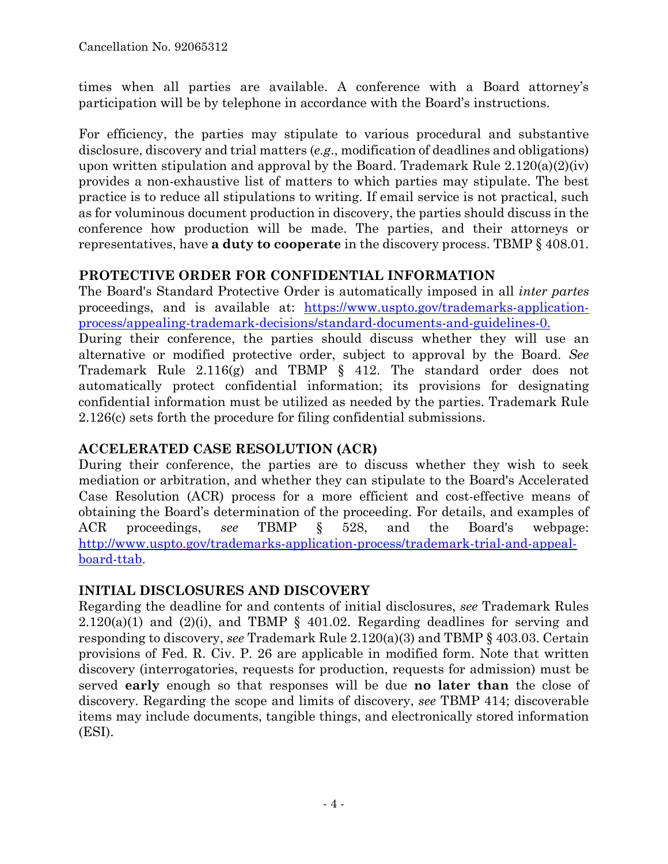times when all parties are available. A conference with a Board attorney's participation will be by telephone in accordance with the Board's instructions.

For efficiency, the parties may stipulate to various procedural and substantive disclosure, discovery and trial matters (*e.g*., modification of deadlines and obligations) upon written stipulation and approval by the Board. Trademark Rule  $2.120(a)(2)(iv)$ provides a non-exhaustive list of matters to which parties may stipulate. The best practice is to reduce all stipulations to writing. If email service is not practical, such as for voluminous document production in discovery, the parties should discuss in the conference how production will be made. The parties, and their attorneys or representatives, have **a duty to cooperate** in the discovery process. TBMP § 408.01.

## **PROTECTIVE ORDER FOR CONFIDENTIAL INFORMATION**

The Board's Standard Protective Order is automatically imposed in all *inter partes* proceedings, and is available at: https://www.uspto.gov/trademarks-applicationprocess/appealing-trademark-decisions/standard-documents-and-guidelines-0.

During their conference, the parties should discuss whether they will use an alternative or modified protective order, subject to approval by the Board. *See* Trademark Rule 2.116(g) and TBMP § 412. The standard order does not automatically protect confidential information; its provisions for designating confidential information must be utilized as needed by the parties. Trademark Rule 2.126(c) sets forth the procedure for filing confidential submissions.

# **ACCELERATED CASE RESOLUTION (ACR)**

During their conference, the parties are to discuss whether they wish to seek mediation or arbitration, and whether they can stipulate to the Board's Accelerated Case Resolution (ACR) process for a more efficient and cost-effective means of obtaining the Board's determination of the proceeding. For details, and examples of ACR proceedings, *see* TBMP § 528, and the Board's webpage: http://www.uspto.gov/trademarks-application-process/trademark-trial-and-appealboard-ttab.

# **INITIAL DISCLOSURES AND DISCOVERY**

Regarding the deadline for and contents of initial disclosures, *see* Trademark Rules  $2.120(a)(1)$  and  $(2)(i)$ , and TBMP § 401.02. Regarding deadlines for serving and responding to discovery, *see* Trademark Rule 2.120(a)(3) and TBMP § 403.03. Certain provisions of Fed. R. Civ. P. 26 are applicable in modified form. Note that written discovery (interrogatories, requests for production, requests for admission) must be served **early** enough so that responses will be due **no later than** the close of discovery. Regarding the scope and limits of discovery, *see* TBMP 414; discoverable items may include documents, tangible things, and electronically stored information (ESI).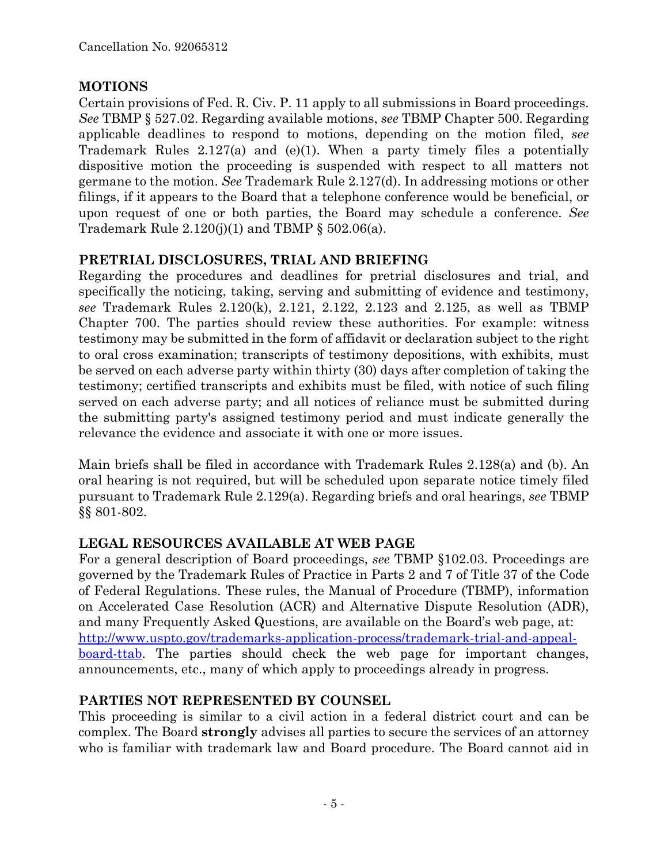# **MOTIONS**

Certain provisions of Fed. R. Civ. P. 11 apply to all submissions in Board proceedings. *See* TBMP § 527.02. Regarding available motions, *see* TBMP Chapter 500. Regarding applicable deadlines to respond to motions, depending on the motion filed, *see* Trademark Rules 2.127(a) and (e)(1). When a party timely files a potentially dispositive motion the proceeding is suspended with respect to all matters not germane to the motion. *See* Trademark Rule 2.127(d). In addressing motions or other filings, if it appears to the Board that a telephone conference would be beneficial, or upon request of one or both parties, the Board may schedule a conference. *See* Trademark Rule  $2.120(j)(1)$  and TBMP §  $502.06(a)$ .

## **PRETRIAL DISCLOSURES, TRIAL AND BRIEFING**

Regarding the procedures and deadlines for pretrial disclosures and trial, and specifically the noticing, taking, serving and submitting of evidence and testimony, *see* Trademark Rules 2.120(k), 2.121, 2.122, 2.123 and 2.125, as well as TBMP Chapter 700. The parties should review these authorities. For example: witness testimony may be submitted in the form of affidavit or declaration subject to the right to oral cross examination; transcripts of testimony depositions, with exhibits, must be served on each adverse party within thirty (30) days after completion of taking the testimony; certified transcripts and exhibits must be filed, with notice of such filing served on each adverse party; and all notices of reliance must be submitted during the submitting party's assigned testimony period and must indicate generally the relevance the evidence and associate it with one or more issues.

Main briefs shall be filed in accordance with Trademark Rules 2.128(a) and (b). An oral hearing is not required, but will be scheduled upon separate notice timely filed pursuant to Trademark Rule 2.129(a). Regarding briefs and oral hearings, *see* TBMP §§ 801-802.

# **LEGAL RESOURCES AVAILABLE AT WEB PAGE**

For a general description of Board proceedings, *see* TBMP §102.03. Proceedings are governed by the Trademark Rules of Practice in Parts 2 and 7 of Title 37 of the Code of Federal Regulations. These rules, the Manual of Procedure (TBMP), information on Accelerated Case Resolution (ACR) and Alternative Dispute Resolution (ADR), and many Frequently Asked Questions, are available on the Board's web page, at: http://www.uspto.gov/trademarks-application-process/trademark-trial-and-appealboard-ttab. The parties should check the web page for important changes, announcements, etc., many of which apply to proceedings already in progress.

# **PARTIES NOT REPRESENTED BY COUNSEL**

This proceeding is similar to a civil action in a federal district court and can be complex. The Board **strongly** advises all parties to secure the services of an attorney who is familiar with trademark law and Board procedure. The Board cannot aid in